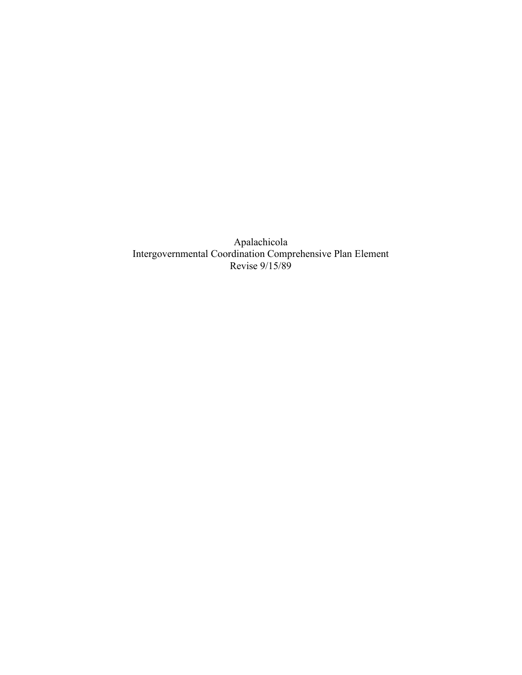Apalachicola Intergovernmental Coordination Comprehensive Plan Element Revise 9/15/89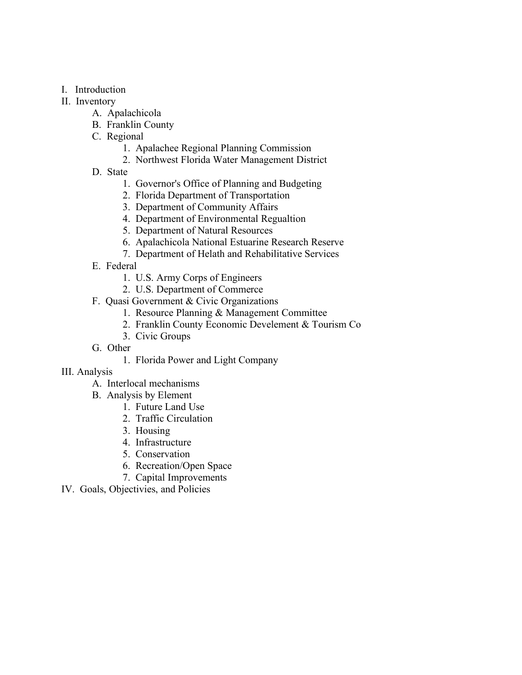- I. Introduction
- II. Inventory
	- A. Apalachicola
	- B. Franklin County
	- C. Regional
		- 1. Apalachee Regional Planning Commission
		- 2. Northwest Florida Water Management District
	- D. State
		- 1. Governor's Office of Planning and Budgeting
		- 2. Florida Department of Transportation
		- 3. Department of Community Affairs
		- 4. Department of Environmental Regualtion
		- 5. Department of Natural Resources
		- 6. Apalachicola National Estuarine Research Reserve
		- 7. Department of Helath and Rehabilitative Services
	- E. Federal
		- 1. U.S. Army Corps of Engineers
		- 2. U.S. Department of Commerce
	- F. Quasi Government & Civic Organizations
		- 1. Resource Planning & Management Committee
		- 2. Franklin County Economic Develement & Tourism Co
		- 3. Civic Groups
	- G. Other
		- 1. Florida Power and Light Company
- III. Analysis
	- A. Interlocal mechanisms
	- B. Analysis by Element
		- 1. Future Land Use
		- 2. Traffic Circulation
		- 3. Housing
		- 4. Infrastructure
		- 5. Conservation
		- 6. Recreation/Open Space
		- 7. Capital Improvements
- IV. Goals, Objectivies, and Policies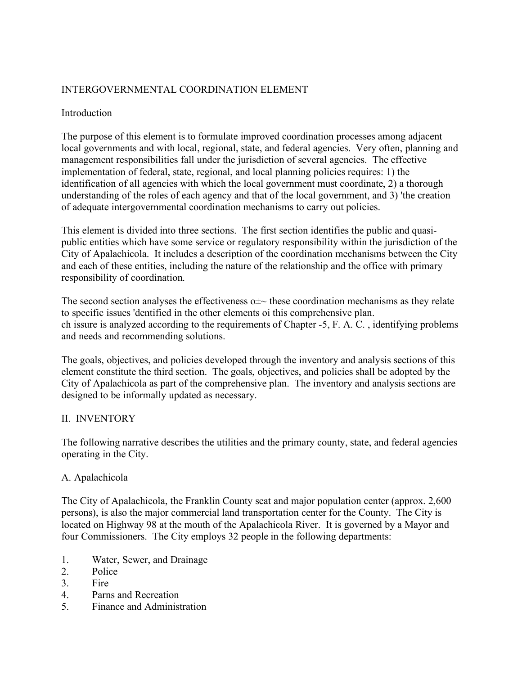# INTERGOVERNMENTAL COORDINATION ELEMENT

#### Introduction

The purpose of this element is to formulate improved coordination processes among adjacent local governments and with local, regional, state, and federal agencies. Very often, planning and management responsibilities fall under the jurisdiction of several agencies. The effective implementation of federal, state, regional, and local planning policies requires: 1) the identification of all agencies with which the local government must coordinate, 2) a thorough understanding of the roles of each agency and that of the local government, and 3) 'the creation of adequate intergovernmental coordination mechanisms to carry out policies.

This element is divided into three sections. The first section identifies the public and quasipublic entities which have some service or regulatory responsibility within the jurisdiction of the City of Apalachicola. It includes a description of the coordination mechanisms between the City and each of these entities, including the nature of the relationship and the office with primary responsibility of coordination.

The second section analyses the effectiveness  $\sigma \pm \sim$  these coordination mechanisms as they relate to specific issues 'dentified in the other elements oi this comprehensive plan. ch issure is analyzed according to the requirements of Chapter -5, F. A. C. , identifying problems and needs and recommending solutions.

The goals, objectives, and policies developed through the inventory and analysis sections of this element constitute the third section. The goals, objectives, and policies shall be adopted by the City of Apalachicola as part of the comprehensive plan. The inventory and analysis sections are designed to be informally updated as necessary.

#### II. INVENTORY

The following narrative describes the utilities and the primary county, state, and federal agencies operating in the City.

## A. Apalachicola

The City of Apalachicola, the Franklin County seat and major population center (approx. 2,600 persons), is also the major commercial land transportation center for the County. The City is located on Highway 98 at the mouth of the Apalachicola River. It is governed by a Mayor and four Commissioners. The City employs 32 people in the following departments:

- 1. Water, Sewer, and Drainage
- 2. Police
- 3. Fire
- 4. Parns and Recreation
- 5. Finance and Administration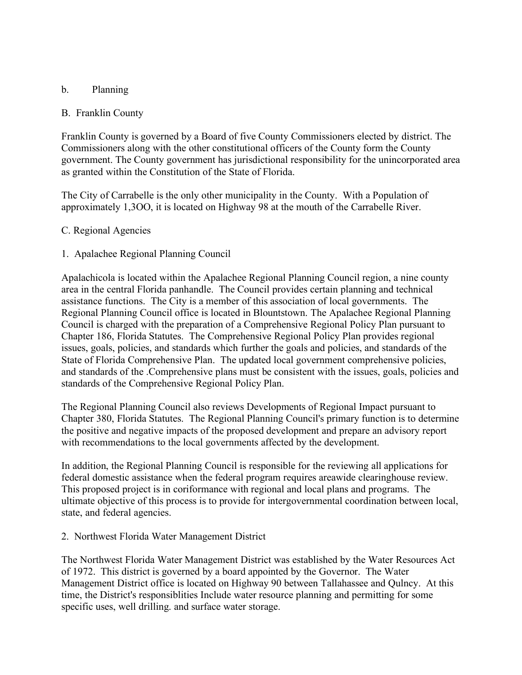## b. Planning

#### B. Franklin County

Franklin County is governed by a Board of five County Commissioners elected by district. The Commissioners along with the other constitutional officers of the County form the County government. The County government has jurisdictional responsibility for the unincorporated area as granted within the Constitution of the State of Florida.

The City of Carrabelle is the only other municipality in the County. With a Population of approximately 1,3OO, it is located on Highway 98 at the mouth of the Carrabelle River.

#### C. Regional Agencies

#### 1. Apalachee Regional Planning Council

Apalachicola is located within the Apalachee Regional Planning Council region, a nine county area in the central Florida panhandle. The Council provides certain planning and technical assistance functions. The City is a member of this association of local governments. The Regional Planning Council office is located in Blountstown. The Apalachee Regional Planning Council is charged with the preparation of a Comprehensive Regional Policy Plan pursuant to Chapter 186, Florida Statutes. The Comprehensive Regional Policy Plan provides regional issues, goals, policies, and standards which further the goals and policies, and standards of the State of Florida Comprehensive Plan. The updated local government comprehensive policies, and standards of the .Comprehensive plans must be consistent with the issues, goals, policies and standards of the Comprehensive Regional Policy Plan.

The Regional Planning Council also reviews Developments of Regional Impact pursuant to Chapter 380, Florida Statutes. The Regional Planning Council's primary function is to determine the positive and negative impacts of the proposed development and prepare an advisory report with recommendations to the local governments affected by the development.

In addition, the Regional Planning Council is responsible for the reviewing all applications for federal domestic assistance when the federal program requires areawide clearinghouse review. This proposed project is in coriformance with regional and local plans and programs. The ultimate objective of this process is to provide for intergovernmental coordination between local, state, and federal agencies.

#### 2. Northwest Florida Water Management District

The Northwest Florida Water Management District was established by the Water Resources Act of 1972. This district is governed by a board appointed by the Governor. The Water Management District office is located on Highway 90 between Tallahassee and Qulncy. At this time, the District's responsiblities Include water resource planning and permitting for some specific uses, well drilling. and surface water storage.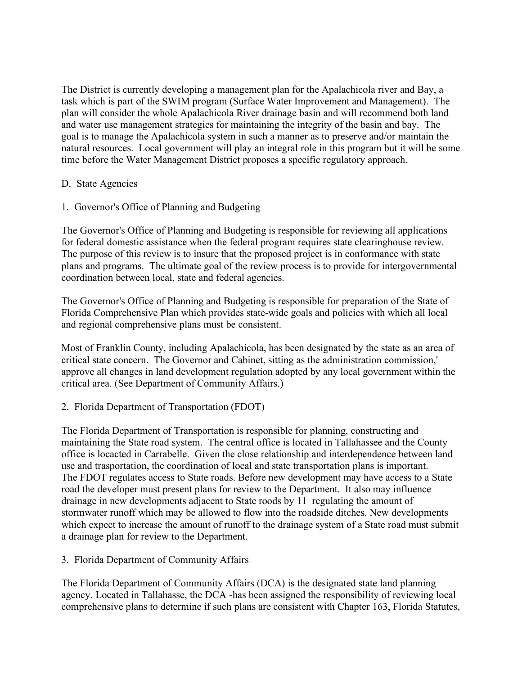The District is currently developing a management plan for the Apalachicola river and Bay, a task which is part of the SWIM program (Surface Water Improvement and Management). The plan will consider the whole Apalachicola River drainage basin and will recommend both land and water use management strategies for maintaining the integrity of the basin and bay. The goal is to manage the Apalachicola system in such a manner as to preserve and/or maintain the natural resources. Local government will play an integral role in this program but it will be some time before the Water Management District proposes a specific regulatory approach.

## D. State Agencies

1. Governor's Office of Planning and Budgeting

The Governor's Office of Planning and Budgeting is responsible for reviewing all applications for federal domestic assistance when the federal program requires state clearinghouse review. The purpose of this review is to insure that the proposed project is in conformance with state plans and programs. The ultimate goal of the review process is to provide for intergovernmental coordination between local, state and federal agencies.

The Governor's Office of Planning and Budgeting is responsible for preparation of the State of Florida Comprehensive Plan which provides state-wide goals and policies with which all local and regional comprehensive plans must be consistent.

Most of Franklin County, including Apalachicola, has been designated by the state as an area of critical state concern. The Governor and Cabinet, sitting as the administration commission,' approve all changes in land development regulation adopted by any local government within the critical area. (See Department of Community Affairs.)

#### 2. Florida Department of Transportation (FDOT)

The Florida Department of Transportation is responsible for planning, constructing and maintaining the State road system. The central office is located in Tallahassee and the County office is locacted in Carrabelle. Given the close relationship and interdependence between land use and trasportation, the coordination of local and state transportation plans is important. The FDOT regulates access to State roads. Before new development may have access to a State road the developer must present plans for review to the Department. It also may influence drainage in new developments adjacent to State roods by 11 regulating the amount of stormwater runoff which may be allowed to flow into the roadside ditches. New developments which expect to increase the amount of runoff to the drainage system of a State road must submit a drainage plan for review to the Department.

3. Florida Department of Community Affairs

The Florida Department of Community Affairs (DCA) is the designated state land planning agency. Located in Tallahasse, the DCA -has been assigned the responsibility of reviewing local comprehensive plans to determine if such plans are consistent with Chapter 163, Florida Statutes,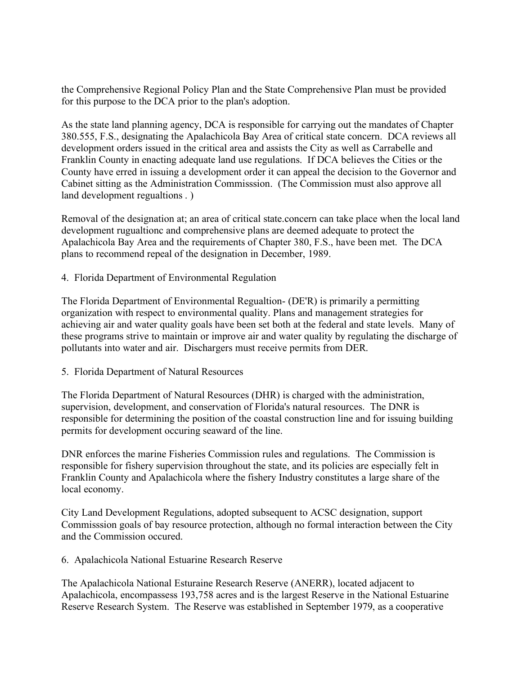the Comprehensive Regional Policy Plan and the State Comprehensive Plan must be provided for this purpose to the DCA prior to the plan's adoption.

As the state land planning agency, DCA is responsible for carrying out the mandates of Chapter 380.555, F.S., designating the Apalachicola Bay Area of critical state concern. DCA reviews all development orders issued in the critical area and assists the City as well as Carrabelle and Franklin County in enacting adequate land use regulations. If DCA believes the Cities or the County have erred in issuing a development order it can appeal the decision to the Governor and Cabinet sitting as the Administration Commisssion. (The Commission must also approve all land development regualtions . )

Removal of the designation at; an area of critical state.concern can take place when the local land development rugualtionc and comprehensive plans are deemed adequate to protect the Apalachicola Bay Area and the requirements of Chapter 380, F.S., have been met. The DCA plans to recommend repeal of the designation in December, 1989.

4. Florida Department of Environmental Regulation

The Florida Department of Environmental Regualtion- (DE'R) is primarily a permitting organization with respect to environmental quality. Plans and management strategies for achieving air and water quality goals have been set both at the federal and state levels. Many of these programs strive to maintain or improve air and water quality by regulating the discharge of pollutants into water and air. Dischargers must receive permits from DER.

5. Florida Department of Natural Resources

The Florida Department of Natural Resources (DHR) is charged with the administration, supervision, development, and conservation of Florida's natural resources. The DNR is responsible for determining the position of the coastal construction line and for issuing building permits for development occuring seaward of the line.

DNR enforces the marine Fisheries Commission rules and regulations. The Commission is responsible for fishery supervision throughout the state, and its policies are especially felt in Franklin County and Apalachicola where the fishery Industry constitutes a large share of the local economy.

City Land Development Regulations, adopted subsequent to ACSC designation, support Commisssion goals of bay resource protection, although no formal interaction between the City and the Commission occured.

6. Apalachicola National Estuarine Research Reserve

The Apalachicola National Esturaine Research Reserve (ANERR), located adjacent to Apalachicola, encompassess 193,758 acres and is the largest Reserve in the National Estuarine Reserve Research System. The Reserve was established in September 1979, as a cooperative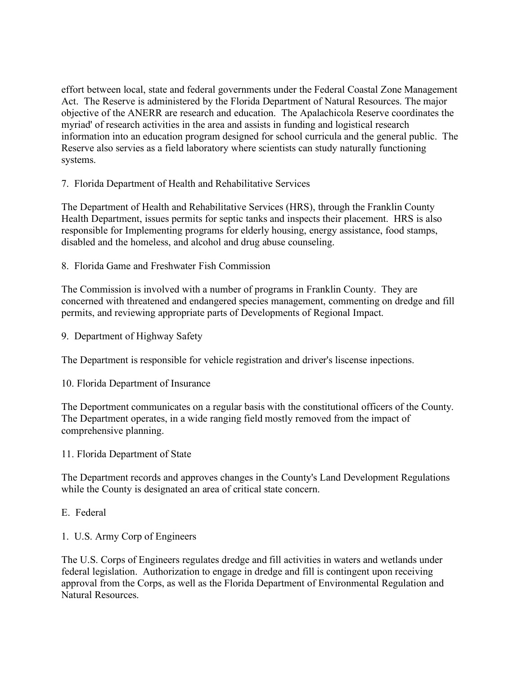effort between local, state and federal governments under the Federal Coastal Zone Management Act. The Reserve is administered by the Florida Department of Natural Resources. The major objective of the ANERR are research and education. The Apalachicola Reserve coordinates the myriad' of research activities in the area and assists in funding and logistical research information into an education program designed for school curricula and the general public. The Reserve also servies as a field laboratory where scientists can study naturally functioning systems.

7. Florida Department of Health and Rehabilitative Services

The Department of Health and Rehabilitative Services (HRS), through the Franklin County Health Department, issues permits for septic tanks and inspects their placement. HRS is also responsible for Implementing programs for elderly housing, energy assistance, food stamps, disabled and the homeless, and alcohol and drug abuse counseling.

8. Florida Game and Freshwater Fish Commission

The Commission is involved with a number of programs in Franklin County. They are concerned with threatened and endangered species management, commenting on dredge and fill permits, and reviewing appropriate parts of Developments of Regional Impact.

9. Department of Highway Safety

The Department is responsible for vehicle registration and driver's liscense inpections.

10. Florida Department of Insurance

The Deportment communicates on a regular basis with the constitutional officers of the County. The Department operates, in a wide ranging field mostly removed from the impact of comprehensive planning.

11. Florida Department of State

The Department records and approves changes in the County's Land Development Regulations while the County is designated an area of critical state concern.

E. Federal

1. U.S. Army Corp of Engineers

The U.S. Corps of Engineers regulates dredge and fill activities in waters and wetlands under federal legislation. Authorization to engage in dredge and fill is contingent upon receiving approval from the Corps, as well as the Florida Department of Environmental Regulation and Natural Resources.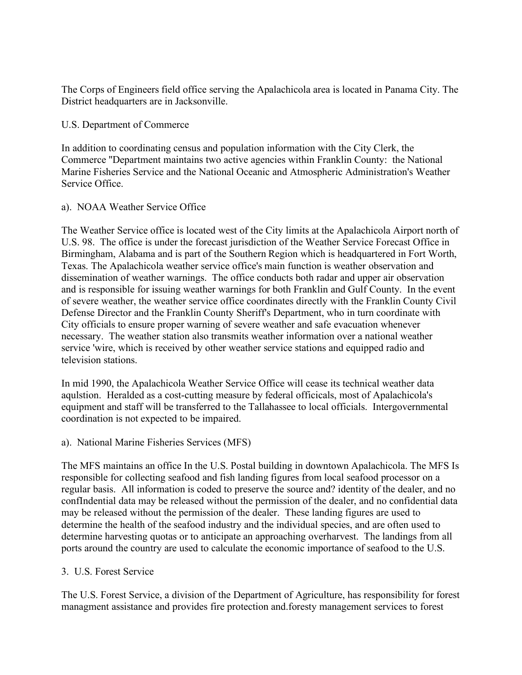The Corps of Engineers field office serving the Apalachicola area is located in Panama City. The District headquarters are in Jacksonville.

#### U.S. Department of Commerce

In addition to coordinating census and population information with the City Clerk, the Commerce ''Department maintains two active agencies within Franklin County: the National Marine Fisheries Service and the National Oceanic and Atmospheric Administration's Weather Service Office.

#### a). NOAA Weather Service Office

The Weather Service office is located west of the City limits at the Apalachicola Airport north of U.S. 98. The office is under the forecast jurisdiction of the Weather Service Forecast Office in Birmingham, Alabama and is part of the Southern Region which is headquartered in Fort Worth, Texas. The Apalachicola weather service office's main function is weather observation and dissemination of weather warnings. The office conducts both radar and upper air observation and is responsible for issuing weather warnings for both Franklin and Gulf County. In the event of severe weather, the weather service office coordinates directly with the Franklin County Civil Defense Director and the Franklin County Sheriff's Department, who in turn coordinate with City officials to ensure proper warning of severe weather and safe evacuation whenever necessary. The weather station also transmits weather information over a national weather service 'wire, which is received by other weather service stations and equipped radio and television stations.

In mid 1990, the Apalachicola Weather Service Office will cease its technical weather data aqulstion. Heralded as a cost-cutting measure by federal officicals, most of Apalachicola's equipment and staff will be transferred to the Tallahassee to local officials. Intergovernmental coordination is not expected to be impaired.

#### a). National Marine Fisheries Services (MFS)

The MFS maintains an office In the U.S. Postal building in downtown Apalachicola. The MFS Is responsible for collecting seafood and fish landing figures from local seafood processor on a regular basis. All information is coded to preserve the source and? identity of the dealer, and no confIndential data may be released without the permission of the dealer, and no confidential data may be released without the permission of the dealer. These landing figures are used to determine the health of the seafood industry and the individual species, and are often used to determine harvesting quotas or to anticipate an approaching overharvest. The landings from all ports around the country are used to calculate the economic importance of seafood to the U.S.

## 3. U.S. Forest Service

The U.S. Forest Service, a division of the Department of Agriculture, has responsibility for forest managment assistance and provides fire protection and.foresty management services to forest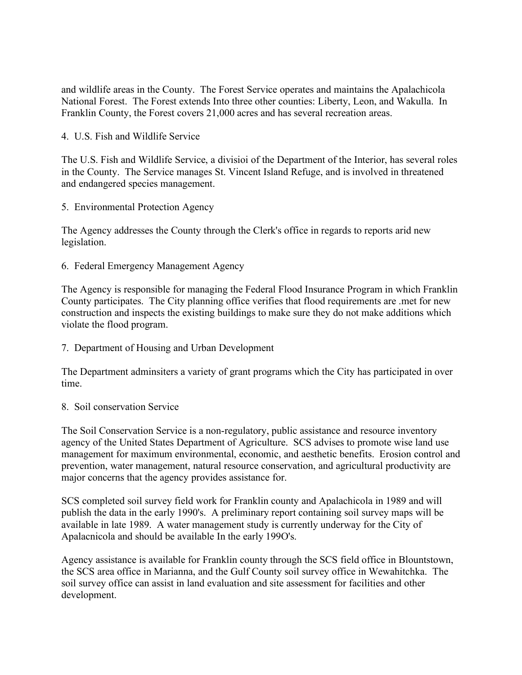and wildlife areas in the County. The Forest Service operates and maintains the Apalachicola National Forest. The Forest extends Into three other counties: Liberty, Leon, and Wakulla. In Franklin County, the Forest covers 21,000 acres and has several recreation areas.

4. U.S. Fish and Wildlife Service

The U.S. Fish and Wildlife Service, a divisioi of the Department of the Interior, has several roles in the County. The Service manages St. Vincent Island Refuge, and is involved in threatened and endangered species management.

5. Environmental Protection Agency

The Agency addresses the County through the Clerk's office in regards to reports arid new legislation.

6. Federal Emergency Management Agency

The Agency is responsible for managing the Federal Flood Insurance Program in which Franklin County participates. The City planning office verifies that flood requirements are .met for new construction and inspects the existing buildings to make sure they do not make additions which violate the flood program.

7. Department of Housing and Urban Development

The Department adminsiters a variety of grant programs which the City has participated in over time.

#### 8. Soil conservation Service

The Soil Conservation Service is a non-regulatory, public assistance and resource inventory agency of the United States Department of Agriculture. SCS advises to promote wise land use management for maximum environmental, economic, and aesthetic benefits. Erosion control and prevention, water management, natural resource conservation, and agricultural productivity are major concerns that the agency provides assistance for.

SCS completed soil survey field work for Franklin county and Apalachicola in 1989 and will publish the data in the early 1990's. A preliminary report containing soil survey maps will be available in late 1989. A water management study is currently underway for the City of Apalacnicola and should be available In the early 199O's.

Agency assistance is available for Franklin county through the SCS field office in Blountstown, the SCS area office in Marianna, and the Gulf County soil survey office in Wewahitchka. The soil survey office can assist in land evaluation and site assessment for facilities and other development.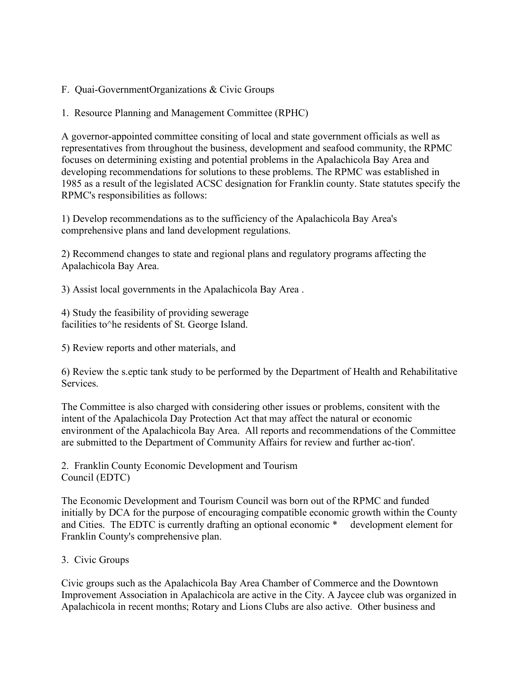- F. Quai-GovernmentOrganizations & Civic Groups
- 1. Resource Planning and Management Committee (RPHC)

A governor-appointed committee consiting of local and state government officials as well as representatives from throughout the business, development and seafood community, the RPMC focuses on determining existing and potential problems in the Apalachicola Bay Area and developing recommendations for solutions to these problems. The RPMC was established in 1985 as a result of the legislated ACSC designation for Franklin county. State statutes specify the RPMC's responsibilities as follows:

1) Develop recommendations as to the sufficiency of the Apalachicola Bay Area's comprehensive plans and land development regulations.

2) Recommend changes to state and regional plans and regulatory programs affecting the Apalachicola Bay Area.

3) Assist local governments in the Apalachicola Bay Area .

4) Study the feasibility of providing sewerage facilities to he residents of St. George Island.

5) Review reports and other materials, and

6) Review the s.eptic tank study to be performed by the Department of Health and Rehabilitative Services.

The Committee is also charged with considering other issues or problems, consitent with the intent of the Apalachicola Day Protection Act that may affect the natural or economic environment of the Apalachicola Bay Area. All reports and recommendations of the Committee are submitted to the Department of Community Affairs for review and further ac-tion'.

2. Franklin County Economic Development and Tourism Council (EDTC)

The Economic Development and Tourism Council was born out of the RPMC and funded initially by DCA for the purpose of encouraging compatible economic growth within the County and Cities. The EDTC is currently drafting an optional economic \* development element for Franklin County's comprehensive plan.

3. Civic Groups

Civic groups such as the Apalachicola Bay Area Chamber of Commerce and the Downtown Improvement Association in Apalachicola are active in the City. A Jaycee club was organized in Apalachicola in recent months; Rotary and Lions Clubs are also active. Other business and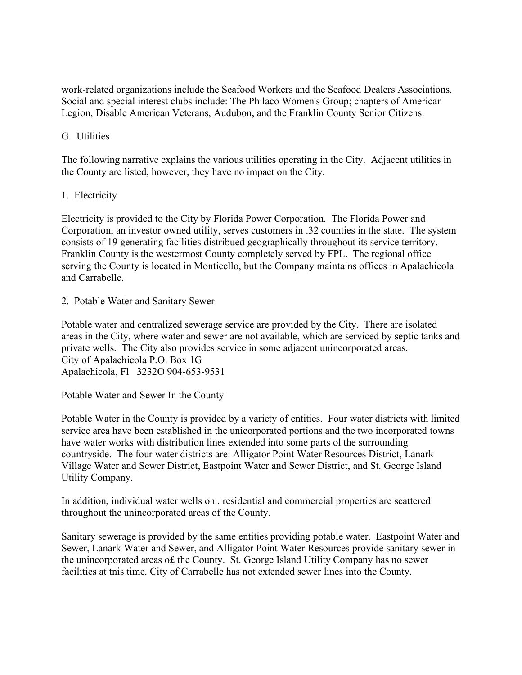work-related organizations include the Seafood Workers and the Seafood Dealers Associations. Social and special interest clubs include: The Philaco Women's Group; chapters of American Legion, Disable American Veterans, Audubon, and the Franklin County Senior Citizens.

## G. Utilities

The following narrative explains the various utilities operating in the City. Adjacent utilities in the County are listed, however, they have no impact on the City.

#### 1. Electricity

Electricity is provided to the City by Florida Power Corporation. The Florida Power and Corporation, an investor owned utility, serves customers in .32 counties in the state. The system consists of 19 generating facilities distribued geographically throughout its service territory. Franklin County is the westermost County completely served by FPL. The regional office serving the County is located in Monticello, but the Company maintains offices in Apalachicola and Carrabelle.

2. Potable Water and Sanitary Sewer

Potable water and centralized sewerage service are provided by the City. There are isolated areas in the City, where water and sewer are not available, which are serviced by septic tanks and private wells. The City also provides service in some adjacent unincorporated areas. City of Apalachicola P.O. Box 1G Apalachicola, Fl 3232O 904-653-9531

Potable Water and Sewer In the County

Potable Water in the County is provided by a variety of entities. Four water districts with limited service area have been established in the unicorporated portions and the two incorporated towns have water works with distribution lines extended into some parts ol the surrounding countryside. The four water districts are: Alligator Point Water Resources District, Lanark Village Water and Sewer District, Eastpoint Water and Sewer District, and St. George Island Utility Company.

In addition, individual water wells on . residential and commercial properties are scattered throughout the unincorporated areas of the County.

Sanitary sewerage is provided by the same entities providing potable water. Eastpoint Water and Sewer, Lanark Water and Sewer, and Alligator Point Water Resources provide sanitary sewer in the unincorporated areas o£ the County. St. George Island Utility Company has no sewer facilities at tnis time. City of Carrabelle has not extended sewer lines into the County.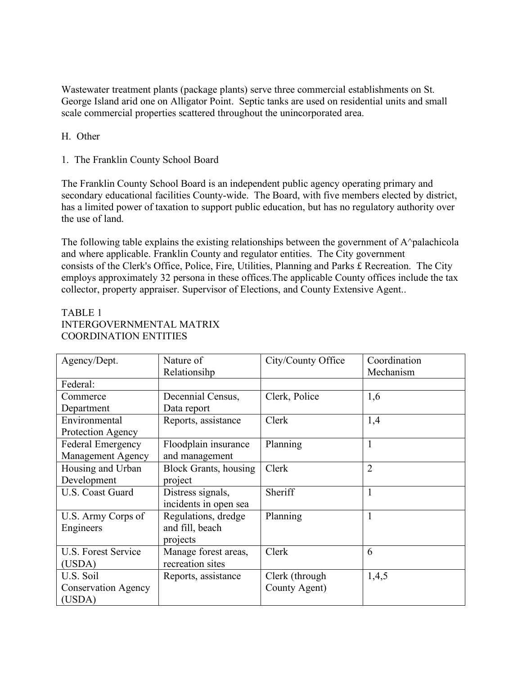Wastewater treatment plants (package plants) serve three commercial establishments on St. George Island arid one on Alligator Point. Septic tanks are used on residential units and small scale commercial properties scattered throughout the unincorporated area.

## H. Other

1. The Franklin County School Board

The Franklin County School Board is an independent public agency operating primary and secondary educational facilities County-wide. The Board, with five members elected by district, has a limited power of taxation to support public education, but has no regulatory authority over the use of land.

The following table explains the existing relationships between the government of A^palachicola and where applicable. Franklin County and regulator entities. The City government consists of the Clerk's Office, Police, Fire, Utilities, Planning and Parks £ Recreation. The City employs approximately 32 persona in these offices.The applicable County offices include the tax collector, property appraiser. Supervisor of Elections, and County Extensive Agent..

# TABLE 1 INTERGOVERNMENTAL MATRIX COORDINATION ENTITIES

| Agency/Dept.               | Nature of                     | City/County Office | Coordination   |
|----------------------------|-------------------------------|--------------------|----------------|
|                            | Relationsihp                  |                    | Mechanism      |
| Federal:                   |                               |                    |                |
| Commerce                   | Decennial Census,             | Clerk, Police      | 1,6            |
| Department                 | Data report                   |                    |                |
| Environmental              | Reports, assistance           | Clerk              | 1,4            |
| Protection Agency          |                               |                    |                |
| <b>Federal Emergency</b>   | Floodplain insurance          | Planning           | 1              |
| Management Agency          | and management                |                    |                |
| Housing and Urban          | <b>Block Grants</b> , housing | Clerk              | $\overline{2}$ |
| Development                | project                       |                    |                |
| U.S. Coast Guard           | Distress signals,             | Sheriff            | $\mathbf{1}$   |
|                            | incidents in open sea         |                    |                |
| U.S. Army Corps of         | Regulations, dredge           | Planning           | $\mathbf{1}$   |
| Engineers                  | and fill, beach               |                    |                |
|                            | projects                      |                    |                |
| <b>U.S. Forest Service</b> | Manage forest areas,          | Clerk              | 6              |
| (USDA)                     | recreation sites              |                    |                |
| U.S. Soil                  | Reports, assistance           | Clerk (through     | 1,4,5          |
| <b>Conservation Agency</b> |                               | County Agent)      |                |
| (USDA)                     |                               |                    |                |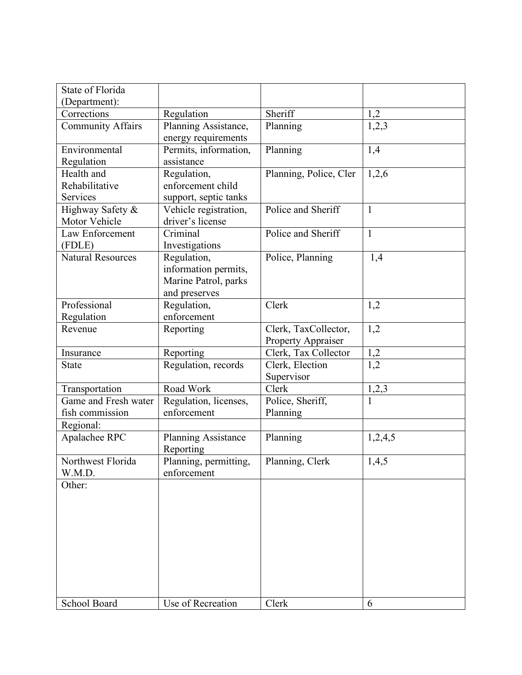| State of Florida         |                       |                        |              |
|--------------------------|-----------------------|------------------------|--------------|
| (Department):            |                       |                        |              |
| Corrections              | Regulation            | Sheriff                | 1,2          |
| <b>Community Affairs</b> | Planning Assistance,  | Planning               | 1,2,3        |
|                          | energy requirements   |                        |              |
| Environmental            | Permits, information, | Planning               | 1,4          |
| Regulation               | assistance            |                        |              |
| Health and               | Regulation,           | Planning, Police, Cler | 1,2,6        |
| Rehabilitative           | enforcement child     |                        |              |
| Services                 | support, septic tanks |                        |              |
| Highway Safety &         | Vehicle registration, | Police and Sheriff     | $\mathbf{1}$ |
| Motor Vehicle            | driver's license      |                        |              |
| Law Enforcement          | Criminal              | Police and Sheriff     | $\mathbf{1}$ |
| (FDLE)                   | Investigations        |                        |              |
| <b>Natural Resources</b> | Regulation,           | Police, Planning       | 1,4          |
|                          | information permits,  |                        |              |
|                          | Marine Patrol, parks  |                        |              |
|                          | and preserves         |                        |              |
| Professional             | Regulation,           | Clerk                  | 1,2          |
| Regulation               | enforcement           |                        |              |
| Revenue                  | Reporting             | Clerk, TaxCollector,   | 1,2          |
|                          |                       | Property Appraiser     |              |
| Insurance                | Reporting             | Clerk, Tax Collector   | 1,2          |
| <b>State</b>             | Regulation, records   | Clerk, Election        | 1,2          |
|                          |                       | Supervisor             |              |
| Transportation           | Road Work             | Clerk                  | 1,2,3        |
| Game and Fresh water     | Regulation, licenses, | Police, Sheriff,       |              |
| fish commission          | enforcement           | Planning               |              |
| Regional:                |                       |                        |              |
| Apalachee RPC            | Planning Assistance   | Planning               | 1,2,4,5      |
|                          | Reporting             |                        |              |
| Northwest Florida        | Planning, permitting, | Planning, Clerk        | 1,4,5        |
| W.M.D.                   | enforcement           |                        |              |
| Other:                   |                       |                        |              |
|                          |                       |                        |              |
|                          |                       |                        |              |
|                          |                       |                        |              |
|                          |                       |                        |              |
|                          |                       |                        |              |
|                          |                       |                        |              |
|                          |                       |                        |              |
|                          |                       |                        |              |
|                          |                       |                        |              |
| School Board             | Use of Recreation     | Clerk                  | 6            |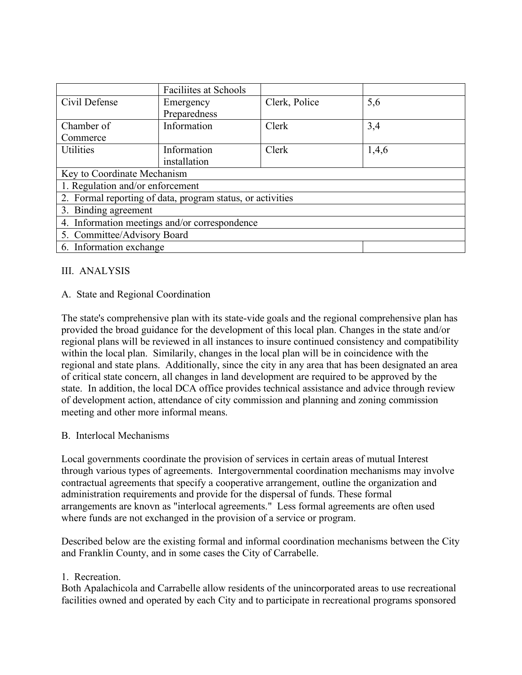|                                                            | <b>Faciliites at Schools</b> |               |       |  |  |
|------------------------------------------------------------|------------------------------|---------------|-------|--|--|
| Civil Defense                                              | Emergency                    | Clerk, Police | 5,6   |  |  |
|                                                            | Preparedness                 |               |       |  |  |
| Chamber of                                                 | Information                  | Clerk         | 3,4   |  |  |
| Commerce                                                   |                              |               |       |  |  |
| <b>Utilities</b>                                           | Information                  | Clerk         | 1,4,6 |  |  |
|                                                            | installation                 |               |       |  |  |
| Key to Coordinate Mechanism                                |                              |               |       |  |  |
| 1. Regulation and/or enforcement                           |                              |               |       |  |  |
| 2. Formal reporting of data, program status, or activities |                              |               |       |  |  |
| 3. Binding agreement                                       |                              |               |       |  |  |
| 4. Information meetings and/or correspondence              |                              |               |       |  |  |
| 5. Committee/Advisory Board                                |                              |               |       |  |  |
| 6. Information exchange                                    |                              |               |       |  |  |

## III. ANALYSIS

## A. State and Regional Coordination

The state's comprehensive plan with its state-vide goals and the regional comprehensive plan has provided the broad guidance for the development of this local plan. Changes in the state and/or regional plans will be reviewed in all instances to insure continued consistency and compatibility within the local plan. Similarily, changes in the local plan will be in coincidence with the regional and state plans. Additionally, since the city in any area that has been designated an area of critical state concern, all changes in land development are required to be approved by the state. In addition, the local DCA office provides technical assistance and advice through review of development action, attendance of city commission and planning and zoning commission meeting and other more informal means.

## B. Interlocal Mechanisms

Local governments coordinate the provision of services in certain areas of mutual Interest through various types of agreements. Intergovernmental coordination mechanisms may involve contractual agreements that specify a cooperative arrangement, outline the organization and administration requirements and provide for the dispersal of funds. These formal arrangements are knovn as "interlocal agreements." Less formal agreements are often used where funds are not exchanged in the provision of a service or program.

Described below are the existing formal and informal coordination mechanisms between the City and Franklin County, and in some cases the City of Carrabelle.

## 1. Recreation.

Both Apalachicola and Carrabelle allow residents of the unincorporated areas to use recreational facilities owned and operated by each City and to participate in recreational programs sponsored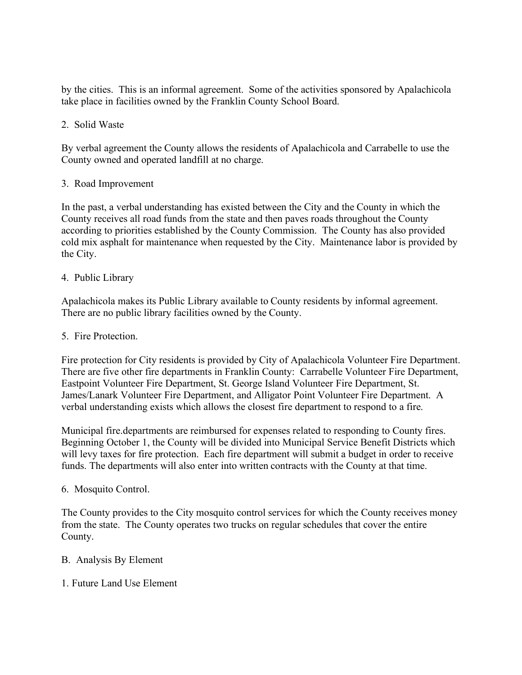by the cities. This is an informal agreement. Some of the activities sponsored by Apalachicola take place in facilities owned by the Franklin County School Board.

# 2. Solid Waste

By verbal agreement the County allows the residents of Apalachicola and Carrabelle to use the County owned and operated landfill at no charge.

## 3. Road Improvement

In the past, a verbal understanding has existed between the City and the County in which the County receives all road funds from the state and then paves roads throughout the County according to priorities established by the County Commission. The County has also provided cold mix asphalt for maintenance when requested by the City. Maintenance labor is provided by the City.

## 4. Public Library

Apalachicola makes its Public Library available to County residents by informal agreement. There are no public library facilities owned by the County.

## 5. Fire Protection.

Fire protection for City residents is provided by City of Apalachicola Volunteer Fire Department. There are five other fire departments in Franklin County: Carrabelle Volunteer Fire Department, Eastpoint Volunteer Fire Department, St. George Island Volunteer Fire Department, St. James/Lanark Volunteer Fire Department, and Alligator Point Volunteer Fire Department. A verbal understanding exists which allows the closest fire department to respond to a fire.

Municipal fire.departments are reimbursed for expenses related to responding to County fires. Beginning October 1, the County will be divided into Municipal Service Benefit Districts which will levy taxes for fire protection. Each fire department will submit a budget in order to receive funds. The departments will also enter into written contracts with the County at that time.

## 6. Mosquito Control.

The County provides to the City mosquito control services for which the County receives money from the state. The County operates two trucks on regular schedules that cover the entire County.

- B. Analysis By Element
- 1. Future Land Use Element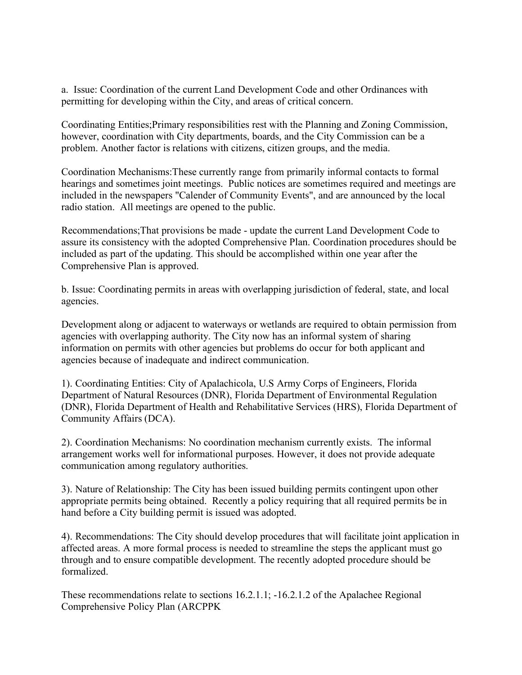a. Issue: Coordination of the current Land Development Code and other Ordinances with permitting for developing within the City, and areas of critical concern.

Coordinating Entities;Primary responsibilities rest with the Planning and Zoning Commission, however, coordination with City departments, boards, and the City Commission can be a problem. Another factor is relations with citizens, citizen groups, and the media.

Coordination Mechanisms:These currently range from primarily informal contacts to formal hearings and sometimes joint meetings. Public notices are sometimes required and meetings are included in the newspapers "Calender of Community Events", and are announced by the local radio station. All meetings are opened to the public.

Recommendations;That provisions be made - update the current Land Development Code to assure its consistency with the adopted Comprehensive Plan. Coordination procedures should be included as part of the updating. This should be accomplished within one year after the Comprehensive Plan is approved.

b. Issue: Coordinating permits in areas with overlapping jurisdiction of federal, state, and local agencies.

Development along or adjacent to waterways or wetlands are required to obtain permission from agencies with overlapping authority. The City now has an informal system of sharing information on permits with other agencies but problems do occur for both applicant and agencies because of inadequate and indirect communication.

1). Coordinating Entities: City of Apalachicola, U.S Army Corps of Engineers, Florida Department of Natural Resources (DNR), Florida Department of Environmental Regulation (DNR), Florida Department of Health and Rehabilitative Services (HRS), Florida Department of Community Affairs (DCA).

2). Coordination Mechanisms: No coordination mechanism currently exists. The informal arrangement works well for informational purposes. However, it does not provide adequate communication among regulatory authorities.

3). Nature of Relationship: The City has been issued building permits contingent upon other appropriate permits being obtained. Recently a policy requiring that all required permits be in hand before a City building permit is issued was adopted.

4). Recommendations: The City should develop procedures that will facilitate joint application in affected areas. A more formal process is needed to streamline the steps the applicant must go through and to ensure compatible development. The recently adopted procedure should be formalized.

These recommendations relate to sections 16.2.1.1; -16.2.1.2 of the Apalachee Regional Comprehensive Policy Plan (ARCPPK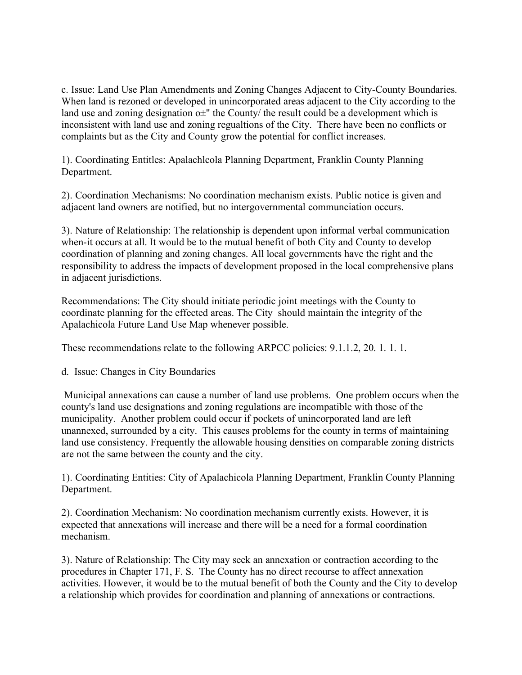c. Issue: Land Use Plan Amendments and Zoning Changes Adjacent to City-County Boundaries. When land is rezoned or developed in unincorporated areas adjacent to the City according to the land use and zoning designation  $o\pm$ " the County/ the result could be a development which is inconsistent with land use and zoning regualtions of the City. There have been no conflicts or complaints but as the City and County grow the potential for conflict increases.

1). Coordinating Entitles: Apalachlcola Planning Department, Franklin County Planning Department.

2). Coordination Mechanisms: No coordination mechanism exists. Public notice is given and adjacent land owners are notified, but no intergovernmental communciation occurs.

3). Nature of Relationship: The relationship is dependent upon informal verbal communication when-it occurs at all. It would be to the mutual benefit of both City and County to develop coordination of planning and zoning changes. All local governments have the right and the responsibility to address the impacts of development proposed in the local comprehensive plans in adjacent jurisdictions.

Recommendations: The City should initiate periodic joint meetings with the County to coordinate planning for the effected areas. The City should maintain the integrity of the Apalachicola Future Land Use Map whenever possible.

These recommendations relate to the following ARPCC policies: 9.1.1.2, 20. 1. 1. 1.

d. Issue: Changes in City Boundaries

Municipal annexations can cause a number of land use problems. One problem occurs when the county's land use designations and zoning regulations are incompatible with those of the municipality. Another problem could occur if pockets of unincorporated land are left unannexed, surrounded by a city. This causes problems for the county in terms of maintaining land use consistency. Frequently the allowable housing densities on comparable zoning districts are not the same between the county and the city.

1). Coordinating Entities: City of Apalachicola Planning Department, Franklin County Planning Department.

2). Coordination Mechanism: No coordination mechanism currently exists. However, it is expected that annexations will increase and there will be a need for a formal coordination mechanism.

3). Nature of Relationship: The City may seek an annexation or contraction according to the procedures in Chapter 171, F. S. The County has no direct recourse to affect annexation activities. However, it would be to the mutual benefit of both the County and the City to develop a relationship which provides for coordination and planning of annexations or contractions.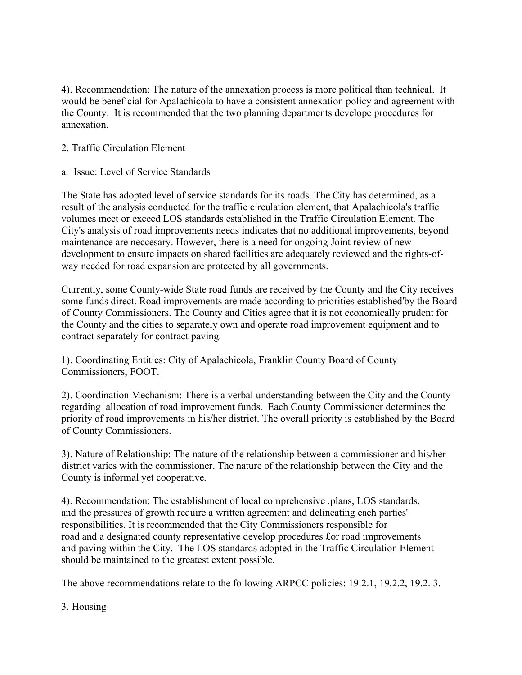4). Recommendation: The nature of the annexation process is more political than technical. It would be beneficial for Apalachicola to have a consistent annexation policy and agreement with the County. It is recommended that the two planning departments develope procedures for annexation.

# 2. Traffic Circulation Element

a. Issue: Level of Service Standards

The State has adopted level of service standards for its roads. The City has determined, as a result of the analysis conducted for the traffic circulation element, that Apalachicola's traffic volumes meet or exceed LOS standards established in the Traffic Circulation Element. The City's analysis of road improvements needs indicates that no additional improvements, beyond maintenance are neccesary. However, there is a need for ongoing Joint review of new development to ensure impacts on shared facilities are adequately reviewed and the rights-ofway needed for road expansion are protected by all governments.

Currently, some County-wide State road funds are received by the County and the City receives some funds direct. Road improvements are made according to priorities established'by the Board of County Commissioners. The County and Cities agree that it is not economically prudent for the County and the cities to separately own and operate road improvement equipment and to contract separately for contract paving.

1). Coordinating Entities: City of Apalachicola, Franklin County Board of County Commissioners, FOOT.

2). Coordination Mechanism: There is a verbal understanding between the City and the County regarding allocation of road improvement funds. Each County Commissioner determines the priority of road improvements in his/her district. The overall priority is established by the Board of County Commissioners.

3). Nature of Relationship: The nature of the relationship between a commissioner and his/her district varies with the commissioner. The nature of the relationship between the City and the County is informal yet cooperative.

4). Recommendation: The establishment of local comprehensive .plans, LOS standards, and the pressures of growth require a written agreement and delineating each parties' responsibilities. It is recommended that the City Commissioners responsible for road and a designated county representative develop procedures £or road improvements and paving within the City. The LOS standards adopted in the Traffic Circulation Element should be maintained to the greatest extent possible.

The above recommendations relate to the following ARPCC policies: 19.2.1, 19.2.2, 19.2. 3.

## 3. Housing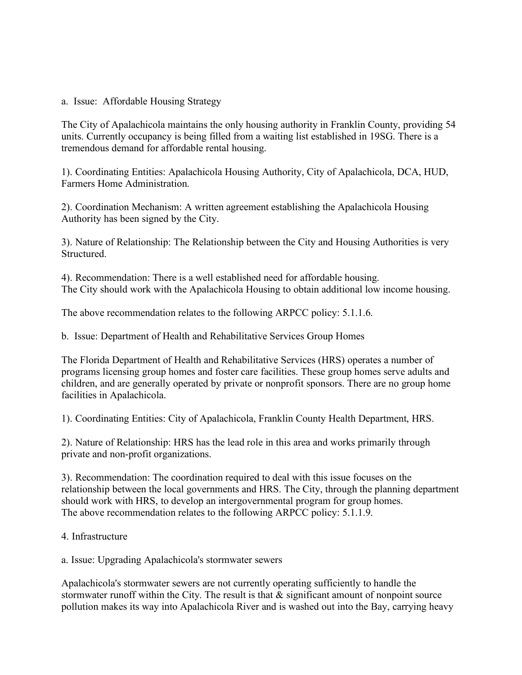a. Issue: Affordable Housing Strategy

The City of Apalachicola maintains the only housing authority in Franklin County, providing 54 units. Currently occupancy is being filled from a waiting list established in 19SG. There is a tremendous demand for affordable rental housing.

1). Coordinating Entities: Apalachicola Housing Authority, City of Apalachicola, DCA, HUD, Farmers Home Administration.

2). Coordination Mechanism: A written agreement establishing the Apalachicola Housing Authority has been signed by the City.

3). Nature of Relationship: The Relationship between the City and Housing Authorities is very Structured.

4). Recommendation: There is a well established need for affordable housing. The City should work with the Apalachicola Housing to obtain additional low income housing.

The above recommendation relates to the following ARPCC policy: 5.1.1.6.

b. Issue: Department of Health and Rehabilitative Services Group Homes

The Florida Department of Health and Rehabilitative Services (HRS) operates a number of programs licensing group homes and foster care facilities. These group homes serve adults and children, and are generally operated by private or nonprofit sponsors. There are no group home facilities in Apalachicola.

1). Coordinating Entities: City of Apalachicola, Franklin County Health Department, HRS.

2). Nature of Relationship: HRS has the lead role in this area and works primarily through private and non-profit organizations.

3). Recommendation: The coordination required to deal with this issue focuses on the relationship between the local governments and HRS. The City, through the planning department should work with HRS, to develop an intergovernmental program for group homes. The above recommendation relates to the following ARPCC policy: 5.1.1.9.

4. Infrastructure

a. Issue: Upgrading Apalachicola's stormwater sewers

Apalachicola's stormwater sewers are not currently operating sufficiently to handle the stormwater runoff within the City. The result is that & significant amount of nonpoint source pollution makes its way into Apalachicola River and is washed out into the Bay, carrying heavy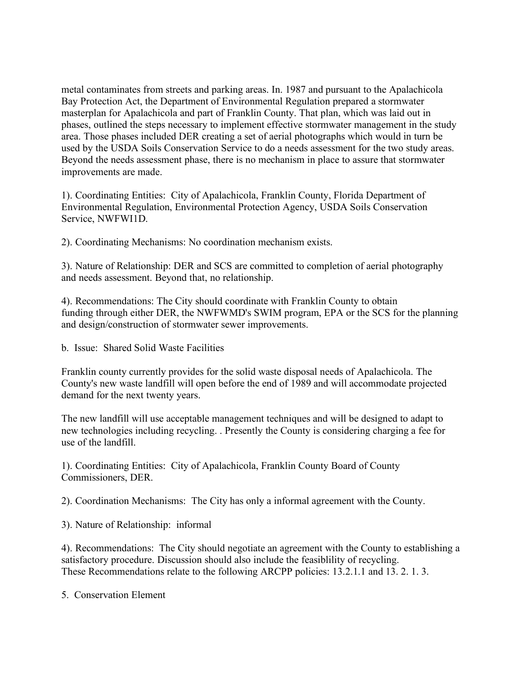metal contaminates from streets and parking areas. In. 1987 and pursuant to the Apalachicola Bay Protection Act, the Department of Environmental Regulation prepared a stormwater masterplan for Apalachicola and part of Franklin County. That plan, which was laid out in phases, outlined the steps necessary to implement effective stormwater management in the study area. Those phases included DER creating a set of aerial photographs which would in turn be used by the USDA Soils Conservation Service to do a needs assessment for the two study areas. Beyond the needs assessment phase, there is no mechanism in place to assure that stormwater improvements are made.

1). Coordinating Entities: City of Apalachicola, Franklin County, Florida Department of Environmental Regulation, Environmental Protection Agency, USDA Soils Conservation Service, NWFWI1D.

2). Coordinating Mechanisms: No coordination mechanism exists.

3). Nature of Relationship: DER and SCS are committed to completion of aerial photography and needs assessment. Beyond that, no relationship.

4). Recommendations: The City should coordinate with Franklin County to obtain funding through either DER, the NWFWMD's SWIM program, EPA or the SCS for the planning and design/construction of stormwater sewer improvements.

b. Issue: Shared Solid Waste Facilities

Franklin county currently provides for the solid waste disposal needs of Apalachicola. The County's new waste landfill will open before the end of 1989 and will accommodate projected demand for the next twenty years.

The new landfill will use acceptable management techniques and will be designed to adapt to new technologies including recycling. . Presently the County is considering charging a fee for use of the landfill.

1). Coordinating Entities: City of Apalachicola, Franklin County Board of County Commissioners, DER.

2). Coordination Mechanisms: The City has only a informal agreement with the County.

3). Nature of Relationship: informal

4). Recommendations: The City should negotiate an agreement with the County to establishing a satisfactory procedure. Discussion should also include the feasiblility of recycling. These Recommendations relate to the following ARCPP policies: 13.2.1.1 and 13. 2. 1. 3.

5. Conservation Element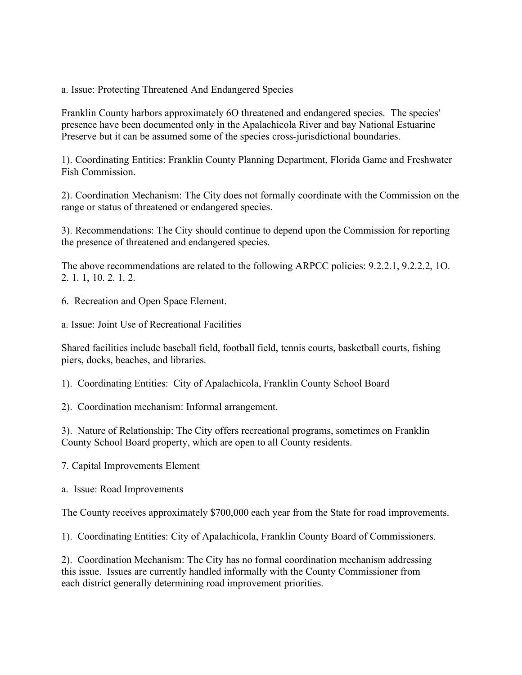a. Issue: Protecting Threatened And Endangered Species

Franklin County harbors approximately 6O threatened and endangered species. The species' presence have been documented only in the Apalachicola River and bay National Estuarine Preserve but it can be assumed some of the species cross-jurisdictional boundaries.

1). Coordinating Entities: Franklin County Planning Department, Florida Game and Freshwater Fish Commission.

2). Coordination Mechanism: The City does not formally coordinate with the Commission on the range or status of threatened or endangered species.

3). Recommendations: The City should continue to depend upon the Commission for reporting the presence of threatened and endangered species.

The above recommendations are related to the following ARPCC policies: 9.2.2.1, 9.2.2.2, 1O. 2. 1. 1, 10. 2. 1. 2.

- 6. Recreation and Open Space Element.
- a. Issue: Joint Use of Recreational Facilities

Shared facilities include baseball field, football field, tennis courts, basketball courts, fishing piers, docks, beaches, and libraries.

1). Coordinating Entities: City of Apalachicola, Franklin County School Board

2). Coordination mechanism: Informal arrangement.

3). Nature of Relationship: The City offers recreational programs, sometimes on Franklin County School Board property, which are open to all County residents.

7. Capital Improvements Element

a. Issue: Road Improvements

The County receives approximately \$700,000 each year from the State for road improvements.

1). Coordinating Entities: City of Apalachicola, Franklin County Board of Commissioners.

2). Coordination Mechanism: The City has no formal coordination mechanism addressing this issue. Issues are currently handled informally with the County Commissioner from each district generally determining road improvement priorities.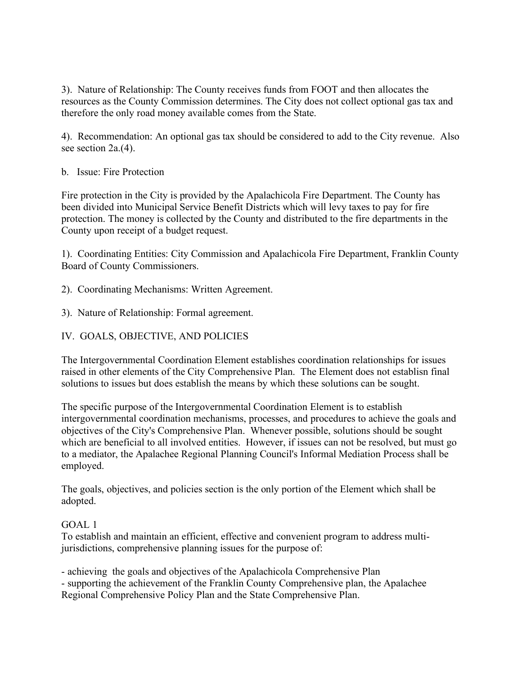3). Nature of Relationship: The County receives funds from FOOT and then allocates the resources as the County Commission determines. The City does not collect optional gas tax and therefore the only road money available comes from the State.

4). Recommendation: An optional gas tax should be considered to add to the City revenue. Also see section 2a.(4).

## b. Issue: Fire Protection

Fire protection in the City is provided by the Apalachicola Fire Department. The County has been divided into Municipal Service Benefit Districts which will levy taxes to pay for fire protection. The money is collected by the County and distributed to the fire departments in the County upon receipt of a budget request.

1). Coordinating Entities: City Commission and Apalachicola Fire Department, Franklin County Board of County Commissioners.

2). Coordinating Mechanisms: Written Agreement.

- 3). Nature of Relationship: Formal agreement.
- IV. GOALS, OBJECTIVE, AND POLICIES

The Intergovernmental Coordination Element establishes coordination relationships for issues raised in other elements of the City Comprehensive Plan. The Element does not establisn final solutions to issues but does establish the means by which these solutions can be sought.

The specific purpose of the Intergovernmental Coordination Element is to establish intergovernmental coordination mechanisms, processes, and procedures to achieve the goals and objectives of the City's Comprehensive Plan. Whenever possible, solutions should be sought which are beneficial to all involved entities. However, if issues can not be resolved, but must go to a mediator, the Apalachee Regional Planning Council's Informal Mediation Process shall be employed.

The goals, objectives, and policies section is the only portion of the Element which shall be adopted.

#### GOAL 1

To establish and maintain an efficient, effective and convenient program to address multijurisdictions, comprehensive planning issues for the purpose of:

- achieving the goals and objectives of the Apalachicola Comprehensive Plan - supporting the achievement of the Franklin County Comprehensive plan, the Apalachee Regional Comprehensive Policy Plan and the State Comprehensive Plan.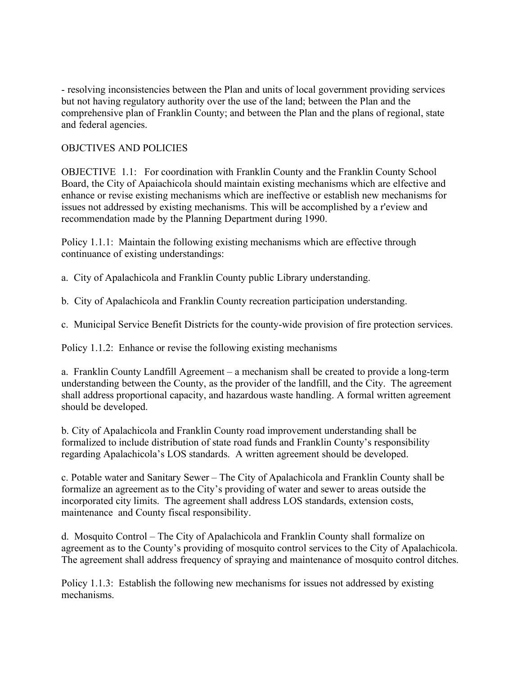- resolving inconsistencies between the Plan and units of local government providing services but not having regulatory authority over the use of the land; between the Plan and the comprehensive plan of Franklin County; and between the Plan and the plans of regional, state and federal agencies.

## OBJCTIVES AND POLICIES

OBJECTIVE 1.1: For coordination with Franklin County and the Franklin County School Board, the City of Apaiachicola should maintain existing mechanisms which are elfective and enhance or revise existing mechanisms which are ineffective or establish new mechanisms for issues not addressed by existing mechanisms. This will be accomplished by a r'eview and recommendation made by the Planning Department during 1990.

Policy 1.1.1: Maintain the following existing mechanisms which are effective through continuance of existing understandings:

a. City of Apalachicola and Franklin County public Library understanding.

b. City of Apalachicola and Franklin County recreation participation understanding.

c. Municipal Service Benefit Districts for the county-wide provision of fire protection services.

Policy 1.1.2: Enhance or revise the following existing mechanisms

a. Franklin County Landfill Agreement – a mechanism shall be created to provide a long-term understanding between the County, as the provider of the landfill, and the City. The agreement shall address proportional capacity, and hazardous waste handling. A formal written agreement should be developed.

b. City of Apalachicola and Franklin County road improvement understanding shall be formalized to include distribution of state road funds and Franklin County's responsibility regarding Apalachicola's LOS standards. A written agreement should be developed.

c. Potable water and Sanitary Sewer – The City of Apalachicola and Franklin County shall be formalize an agreement as to the City's providing of water and sewer to areas outside the incorporated city limits. The agreement shall address LOS standards, extension costs, maintenance and County fiscal responsibility.

d. Mosquito Control – The City of Apalachicola and Franklin County shall formalize on agreement as to the County's providing of mosquito control services to the City of Apalachicola. The agreement shall address frequency of spraying and maintenance of mosquito control ditches.

Policy 1.1.3: Establish the following new mechanisms for issues not addressed by existing mechanisms.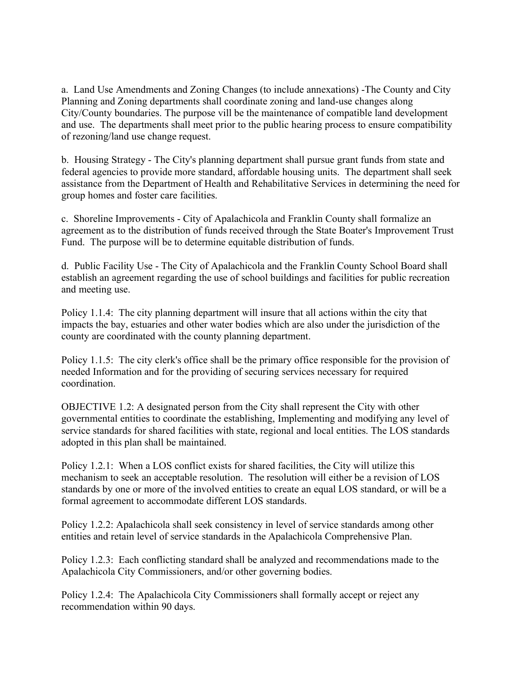a. Land Use Amendments and Zoning Changes (to include annexations) -The County and City Planning and Zoning departments shall coordinate zoning and land-use changes along City/County boundaries. The purpose vill be the maintenance of compatible land development and use. The departments shall meet prior to the public hearing process to ensure compatibility of rezoning/land use change request.

b. Housing Strategy - The City's planning department shall pursue grant funds from state and federal agencies to provide more standard, affordable housing units. The department shall seek assistance from the Department of Health and Rehabilitative Services in determining the need for group homes and foster care facilities.

c. Shoreline Improvements - City of Apalachicola and Franklin County shall formalize an agreement as to the distribution of funds received through the State Boater's Improvement Trust Fund. The purpose will be to determine equitable distribution of funds.

d. Public Facility Use - The City of Apalachicola and the Franklin County School Board shall establish an agreement regarding the use of school buildings and facilities for public recreation and meeting use.

Policy 1.1.4: The city planning department will insure that all actions within the city that impacts the bay, estuaries and other water bodies which are also under the jurisdiction of the county are coordinated with the county planning department.

Policy 1.1.5: The city clerk's office shall be the primary office responsible for the provision of needed Information and for the providing of securing services necessary for required coordination.

OBJECTIVE 1.2: A designated person from the City shall represent the City with other governmental entities to coordinate the establishing, Implementing and modifying any level of service standards for shared facilities with state, regional and local entities. The LOS standards adopted in this plan shall be maintained.

Policy 1.2.1: When a LOS conflict exists for shared facilities, the City will utilize this mechanism to seek an acceptable resolution. The resolution will either be a revision of LOS standards by one or more of the involved entities to create an equal LOS standard, or will be a formal agreement to accommodate different LOS standards.

Policy 1.2.2: Apalachicola shall seek consistency in level of service standards among other entities and retain level of service standards in the Apalachicola Comprehensive Plan.

Policy 1.2.3: Each conflicting standard shall be analyzed and recommendations made to the Apalachicola City Commissioners, and/or other governing bodies.

Policy 1.2.4: The Apalachicola City Commissioners shall formally accept or reject any recommendation within 90 days.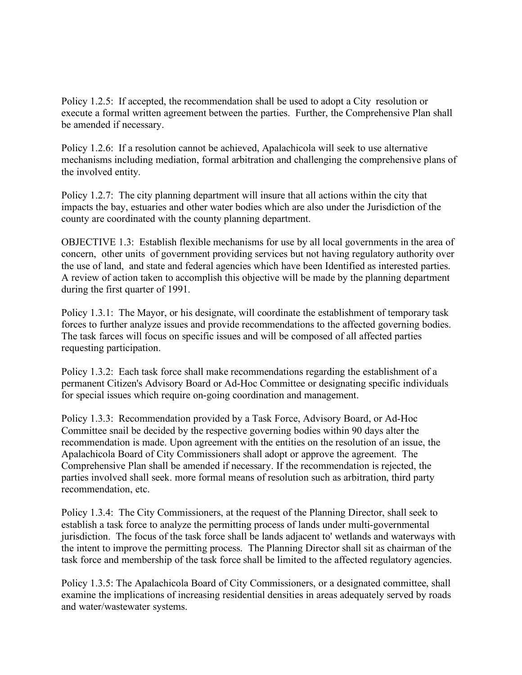Policy 1.2.5: If accepted, the recommendation shall be used to adopt a City resolution or execute a formal written agreement between the parties. Further, the Comprehensive Plan shall be amended if necessary.

Policy 1.2.6: If a resolution cannot be achieved, Apalachicola will seek to use alternative mechanisms including mediation, formal arbitration and challenging the comprehensive plans of the involved entity.

Policy 1.2.7: The city planning department will insure that all actions within the city that impacts the bay, estuaries and other water bodies which are also under the Jurisdiction of the county are coordinated with the county planning department.

OBJECTIVE 1.3: Establish flexible mechanisms for use by all local governments in the area of concern, other units of government providing services but not having regulatory authority over the use of land, and state and federal agencies which have been Identified as interested parties. A review of action taken to accomplish this objective will be made by the planning department during the first quarter of 1991.

Policy 1.3.1: The Mayor, or his designate, will coordinate the establishment of temporary task forces to further analyze issues and provide recommendations to the affected governing bodies. The task farces will focus on specific issues and will be composed of all affected parties requesting participation.

Policy 1.3.2: Each task force shall make recommendations regarding the establishment of a permanent Citizen's Advisory Board or Ad-Hoc Committee or designating specific individuals for special issues which require on-going coordination and management.

Policy 1.3.3: Recommendation provided by a Task Force, Advisory Board, or Ad-Hoc Committee snail be decided by the respective governing bodies within 90 days alter the recommendation is made. Upon agreement with the entities on the resolution of an issue, the Apalachicola Board of City Commissioners shall adopt or approve the agreement. The Comprehensive Plan shall be amended if necessary. If the recommendation is rejected, the parties involved shall seek. more formal means of resolution such as arbitration, third party recommendation, etc.

Policy 1.3.4: The City Commissioners, at the request of the Planning Director, shall seek to establish a task force to analyze the permitting process of lands under multi-governmental jurisdiction. The focus of the task force shall be lands adjacent to' wetlands and waterways with the intent to improve the permitting process. The Planning Director shall sit as chairman of the task force and membership of the task force shall be limited to the affected regulatory agencies.

Policy 1.3.5: The Apalachicola Board of City Commissioners, or a designated committee, shall examine the implications of increasing residential densities in areas adequately served by roads and water/wastewater systems.